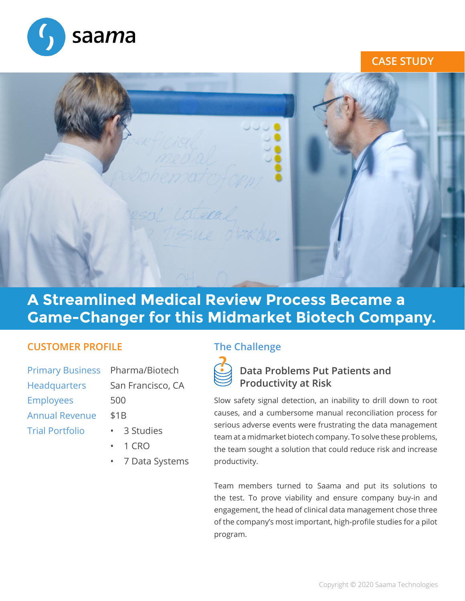

### **CASE STUDY**



# **A Streamlined Medical Review Process Became a Game-Changer for this Midmarket Biotech Company.**

#### **CUSTOMER PROFILE**

| Primary Business Pharma/Biotech |                   |
|---------------------------------|-------------------|
| Headquarters                    | San Francisco, CA |
| <b>Employees</b>                | 500               |
| <b>Annual Revenue</b>           | \$1B              |
| <b>Trial Portfolio</b>          | 3 Studies         |
|                                 |                   |

- • 1 CRO
- 7 Data Systems

# **The Challenge**



# **Data Problems Put Patients and Productivity at Risk**

Slow safety signal detection, an inability to drill down to root causes, and a cumbersome manual reconciliation process for serious adverse events were frustrating the data management team at a midmarket biotech company. To solve these problems, the team sought a solution that could reduce risk and increase productivity.

Team members turned to Saama and put its solutions to the test. To prove viability and ensure company buy-in and engagement, the head of clinical data management chose three of the company's most important, high-profile studies for a pilot program.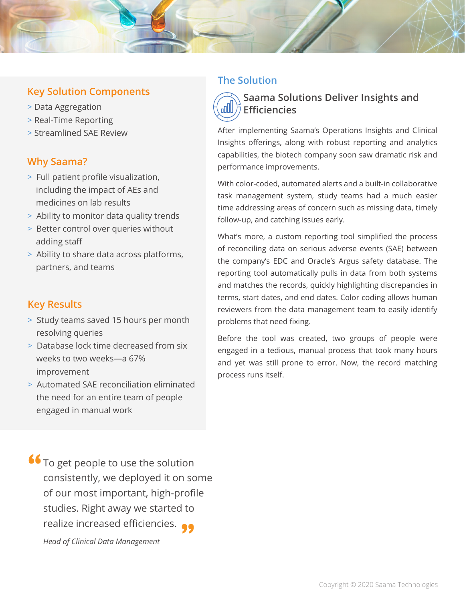### **Key Solution Components**

- > Data Aggregation
- > Real-Time Reporting
- > Streamlined SAE Review

#### **Why Saama?**

- > Full patient profile visualization, including the impact of AEs and medicines on lab results
- > Ability to monitor data quality trends
- > Better control over queries without adding staff
- > Ability to share data across platforms, partners, and teams

#### **Key Results**

- > Study teams saved 15 hours per month resolving queries
- > Database lock time decreased from six weeks to two weeks—a 67% improvement
- > Automated SAE reconciliation eliminated the need for an entire team of people engaged in manual work

#### **The Solution**

#### **Saama Solutions Deliver Insights and Efficiencies**

After implementing Saama's Operations Insights and Clinical Insights offerings, along with robust reporting and analytics capabilities, the biotech company soon saw dramatic risk and performance improvements.

With color-coded, automated alerts and a built-in collaborative task management system, study teams had a much easier time addressing areas of concern such as missing data, timely follow-up, and catching issues early.

What's more, a custom reporting tool simplified the process of reconciling data on serious adverse events (SAE) between the company's EDC and Oracle's Argus safety database. The reporting tool automatically pulls in data from both systems and matches the records, quickly highlighting discrepancies in terms, start dates, and end dates. Color coding allows human reviewers from the data management team to easily identify problems that need fixing.

Before the tool was created, two groups of people were engaged in a tedious, manual process that took many hours and yet was still prone to error. Now, the record matching process runs itself.

To get people to use the solution consistently, we deployed it on some of our most important, high-profile studies. Right away we started to realize increased efficiencies. **" "** *Head of Clinical Data Management*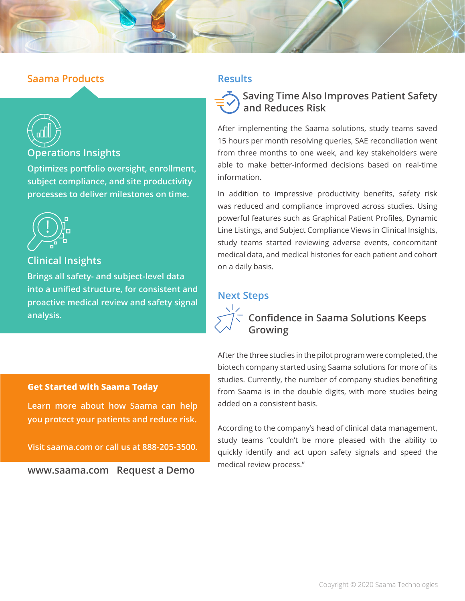#### **Saama Products**



#### **Operations Insights**

**Optimizes portfolio oversight, enrollment, subject compliance, and site productivity processes to deliver milestones on time.**



## **Clinical Insights**

**Brings all safety- and subject-level data into a unified structure, for consistent and proactive medical review and safety signal analysis. Confidence in Saama Solutions Keeps** 

#### **Results**



After implementing the Saama solutions, study teams saved 15 hours per month resolving queries, SAE reconciliation went from three months to one week, and key stakeholders were able to make better-informed decisions based on real-time information.

In addition to impressive productivity benefits, safety risk was reduced and compliance improved across studies. Using powerful features such as Graphical Patient Profiles, Dynamic Line Listings, and Subject Compliance Views in Clinical Insights, study teams started reviewing adverse events, concomitant medical data, and medical histories for each patient and cohort on a daily basis.

#### **Next Steps**



# **Growing**

#### **Get Started with Saama Today**

**Learn more about how Saama can help you protect your patients and reduce risk.** 

**Visit saama.com or call us at 888-205-3500.**

**[www.saama.com](http://www.saama.com) Request a Demo**

After the three studies in the pilot program were completed, the biotech company started using Saama solutions for more of its studies. Currently, the number of company studies benefiting from Saama is in the double digits, with more studies being added on a consistent basis.

According to the company's head of clinical data management, study teams "couldn't be more pleased with the ability to quickly identify and act upon safety signals and speed the medical review process."